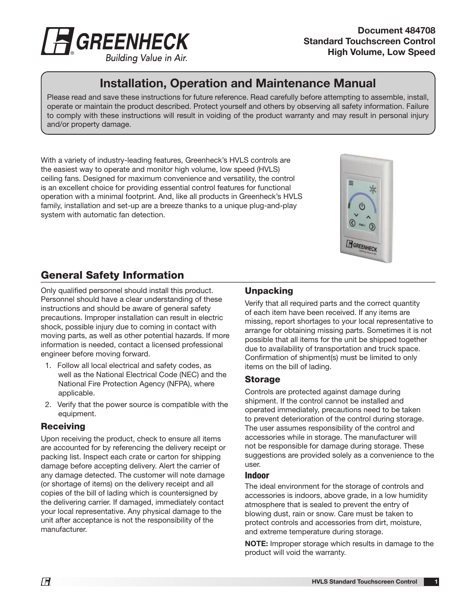

Document 484708 Standard Touchscreen Control High Volume, Low Speed

# Installation, Operation and Maintenance Manual

Please read and save these instructions for future reference. Read carefully before attempting to assemble, install, operate or maintain the product described. Protect yourself and others by observing all safety information. Failure to comply with these instructions will result in voiding of the product warranty and may result in personal injury and/or property damage.

With a variety of industry-leading features, Greenheck's HVLS controls are the easiest way to operate and monitor high volume, low speed (HVLS) ceiling fans. Designed for maximum convenience and versatility, the control is an excellent choice for providing essential control features for functional operation with a minimal footprint. And, like all products in Greenheck's HVLS family, installation and set-up are a breeze thanks to a unique plug-and-play system with automatic fan detection.



# General Safety Information

Only qualified personnel should install this product. Personnel should have a clear understanding of these instructions and should be aware of general safety precautions. Improper installation can result in electric shock, possible injury due to coming in contact with moving parts, as well as other potential hazards. If more information is needed, contact a licensed professional engineer before moving forward.

- 1. Follow all local electrical and safety codes, as well as the National Electrical Code (NEC) and the National Fire Protection Agency (NFPA), where applicable.
- 2. Verify that the power source is compatible with the equipment.

## **Receiving**

Upon receiving the product, check to ensure all items are accounted for by referencing the delivery receipt or packing list. Inspect each crate or carton for shipping damage before accepting delivery. Alert the carrier of any damage detected. The customer will note damage (or shortage of items) on the delivery receipt and all copies of the bill of lading which is countersigned by the delivering carrier. If damaged, immediately contact your local representative. Any physical damage to the unit after acceptance is not the responsibility of the manufacturer.

## Unpacking

Verify that all required parts and the correct quantity of each item have been received. If any items are missing, report shortages to your local representative to arrange for obtaining missing parts. Sometimes it is not possible that all items for the unit be shipped together due to availability of transportation and truck space. Confirmation of shipment(s) must be limited to only items on the bill of lading.

## Storage

Controls are protected against damage during shipment. If the control cannot be installed and operated immediately, precautions need to be taken to prevent deterioration of the control during storage. The user assumes responsibility of the control and accessories while in storage. The manufacturer will not be responsible for damage during storage. These suggestions are provided solely as a convenience to the user.

## Indoor

The ideal environment for the storage of controls and accessories is indoors, above grade, in a low humidity atmosphere that is sealed to prevent the entry of blowing dust, rain or snow. Care must be taken to protect controls and accessories from dirt, moisture, and extreme temperature during storage.

NOTE: Improper storage which results in damage to the product will void the warranty.

1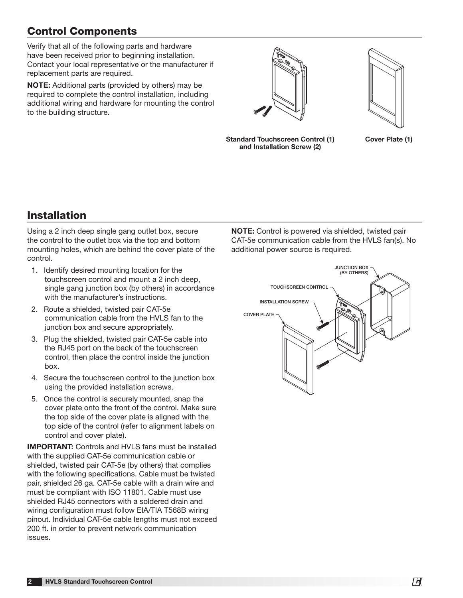# Control Components

Verify that all of the following parts and hardware have been received prior to beginning installation. Contact your local representative or the manufacturer if replacement parts are required.

NOTE: Additional parts (provided by others) may be required to complete the control installation, including additional wiring and hardware for mounting the control to the building structure.





Standard Touchscreen Control (1) Cover Plate (1) and Installation Screw (2)

# Installation

Using a 2 inch deep single gang outlet box, secure the control to the outlet box via the top and bottom mounting holes, which are behind the cover plate of the control.

- 1. Identify desired mounting location for the touchscreen control and mount a 2 inch deep, single gang junction box (by others) in accordance with the manufacturer's instructions.
- 2. Route a shielded, twisted pair CAT-5e communication cable from the HVLS fan to the junction box and secure appropriately.
- 3. Plug the shielded, twisted pair CAT-5e cable into the RJ45 port on the back of the touchscreen control, then place the control inside the junction box.
- 4. Secure the touchscreen control to the junction box using the provided installation screws.
- 5. Once the control is securely mounted, snap the cover plate onto the front of the control. Make sure the top side of the cover plate is aligned with the top side of the control (refer to alignment labels on control and cover plate).

IMPORTANT: Controls and HVLS fans must be installed with the supplied CAT-5e communication cable or shielded, twisted pair CAT-5e (by others) that complies with the following specifications. Cable must be twisted pair, shielded 26 ga. CAT-5e cable with a drain wire and must be compliant with ISO 11801. Cable must use shielded RJ45 connectors with a soldered drain and wiring configuration must follow EIA/TIA T568B wiring pinout. Individual CAT-5e cable lengths must not exceed 200 ft. in order to prevent network communication issues.

NOTE: Control is powered via shielded, twisted pair CAT-5e communication cable from the HVLS fan(s). No additional power source is required.

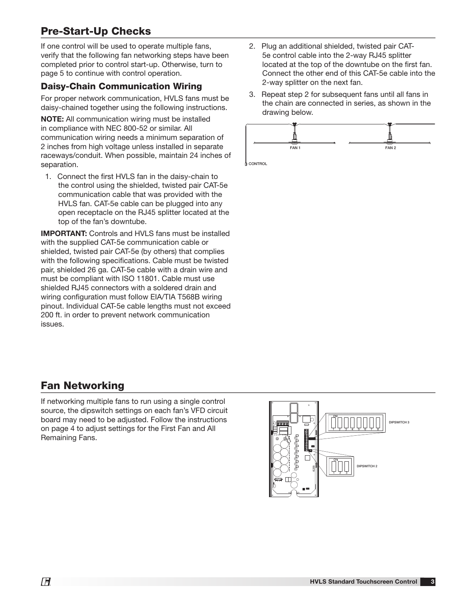# Pre-Start-Up Checks

If one control will be used to operate multiple fans, verify that the following fan networking steps have been completed prior to control start-up. Otherwise, turn to page 5 to continue with control operation.

## Daisy-Chain Communication Wiring

For proper network communication, HVLS fans must be daisy-chained together using the following instructions.

NOTE: All communication wiring must be installed in compliance with NEC 800-52 or similar. All communication wiring needs a minimum separation of 2 inches from high voltage unless installed in separate raceways/conduit. When possible, maintain 24 inches of separation.

1. Connect the first HVLS fan in the daisy-chain to the control using the shielded, twisted pair CAT-5e communication cable that was provided with the HVLS fan. CAT-5e cable can be plugged into any open receptacle on the RJ45 splitter located at the top of the fan's downtube.

IMPORTANT: Controls and HVLS fans must be installed with the supplied CAT-5e communication cable or shielded, twisted pair CAT-5e (by others) that complies with the following specifications. Cable must be twisted pair, shielded 26 ga. CAT-5e cable with a drain wire and must be compliant with ISO 11801. Cable must use shielded RJ45 connectors with a soldered drain and wiring configuration must follow EIA/TIA T568B wiring pinout. Individual CAT-5e cable lengths must not exceed 200 ft. in order to prevent network communication issues.

- 2. Plug an additional shielded, twisted pair CAT-5e control cable into the 2-way RJ45 splitter located at the top of the downtube on the first fan. Connect the other end of this CAT-5e cable into the 2-way splitter on the next fan.
- 3. Repeat step 2 for subsequent fans until all fans in the chain are connected in series, as shown in the drawing below.



**D** CONTROL

# Fan Networking

If networking multiple fans to run using a single control source, the dipswitch settings on each fan's VFD circuit board may need to be adjusted. Follow the instructions on page 4 to adjust settings for the First Fan and All Remaining Fans.

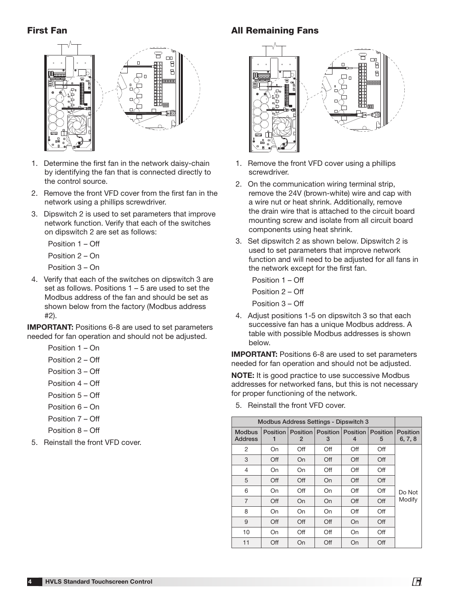## First Fan



- 1. Determine the first fan in the network daisy-chain by identifying the fan that is connected directly to the control source.
- 2. Remove the front VFD cover from the first fan in the network using a phillips screwdriver.
- 3. Dipswitch 2 is used to set parameters that improve network function. Verify that each of the switches on dipswitch 2 are set as follows:
	- Position 1 Off
	- Position 2 On

Position 3 – On

4. Verify that each of the switches on dipswitch 3 are set as follows. Positions 1 – 5 are used to set the Modbus address of the fan and should be set as shown below from the factory (Modbus address #2).

IMPORTANT: Positions 6-8 are used to set parameters needed for fan operation and should not be adjusted.

- Position 1 On
- Position 2 Off
- Position 3 Off
- Position 4 Off
- Position 5 Off
- Position 6 On
- Position 7 Off
- Position 8 Off
- 5. Reinstall the front VFD cover.

## **All Remaining Fans**



- 1. Remove the front VFD cover using a phillips screwdriver.
- 2. On the communication wiring terminal strip, remove the 24V (brown-white) wire and cap with a wire nut or heat shrink. Additionally, remove the drain wire that is attached to the circuit board mounting screw and isolate from all circuit board components using heat shrink.
- 3. Set dipswitch 2 as shown below. Dipswitch 2 is used to set parameters that improve network function and will need to be adjusted for all fans in the network except for the first fan.

 Position 1 – Off Position 2 – Off Position 3 – Off

4. Adjust positions 1-5 on dipswitch 3 so that each successive fan has a unique Modbus address. A table with possible Modbus addresses is shown below.

IMPORTANT: Positions 6-8 are used to set parameters needed for fan operation and should not be adjusted.

NOTE: It is good practice to use successive Modbus addresses for networked fans, but this is not necessary for proper functioning of the network.

5. Reinstall the front VFD cover.

| <b>Modbus Address Settings - Dipswitch 3</b> |                 |     |                                     |     |               |                            |
|----------------------------------------------|-----------------|-----|-------------------------------------|-----|---------------|----------------------------|
| <b>Modbus</b><br><b>Address</b>              | <b>Position</b> | 2   | Position   Position   Position<br>3 | 4   | Position<br>5 | <b>Position</b><br>6, 7, 8 |
| 2                                            | On              | Off | Off                                 | Off | Off           |                            |
| 3                                            | Off             | On  | Off                                 | Off | Off           |                            |
| $\overline{4}$                               | On              | On  | Off                                 | Off | Off           |                            |
| 5                                            | Off             | Off | On                                  | Off | Off           |                            |
| 6                                            | On              | Off | On                                  | Off | Off           | Do Not                     |
| 7                                            | Off             | On  | On                                  | Off | Off           | Modify                     |
| 8                                            | On              | On  | On                                  | Off | Off           |                            |
| 9                                            | Off             | Off | Off                                 | On  | Off           |                            |
| 10                                           | On              | Off | Off                                 | On  | Off           |                            |
| 11                                           | Off             | On  | Off                                 | On  | Off           |                            |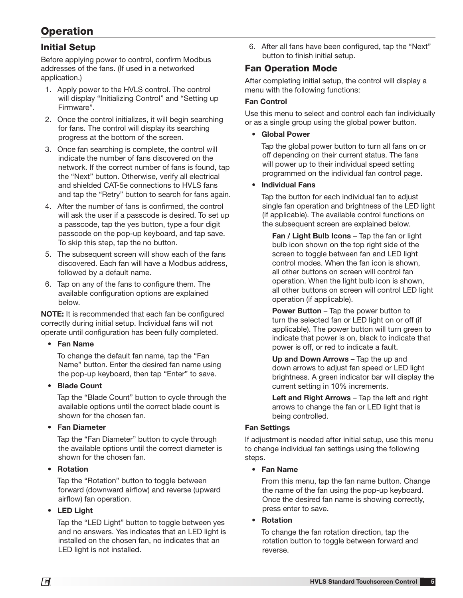# **Operation**

## Initial Setup

Before applying power to control, confirm Modbus addresses of the fans. (If used in a networked application.)

- 1. Apply power to the HVLS control. The control will display "Initializing Control" and "Setting up Firmware".
- 2. Once the control initializes, it will begin searching for fans. The control will display its searching progress at the bottom of the screen.
- 3. Once fan searching is complete, the control will indicate the number of fans discovered on the network. If the correct number of fans is found, tap the "Next" button. Otherwise, verify all electrical and shielded CAT-5e connections to HVLS fans and tap the "Retry" button to search for fans again.
- 4. After the number of fans is confirmed, the control will ask the user if a passcode is desired. To set up a passcode, tap the yes button, type a four digit passcode on the pop-up keyboard, and tap save. To skip this step, tap the no button.
- 5. The subsequent screen will show each of the fans discovered. Each fan will have a Modbus address, followed by a default name.
- 6. Tap on any of the fans to configure them. The available configuration options are explained below.

NOTE: It is recommended that each fan be configured correctly during initial setup. Individual fans will not operate until configuration has been fully completed.

## • Fan Name

 To change the default fan name, tap the "Fan Name" button. Enter the desired fan name using the pop-up keyboard, then tap "Enter" to save.

• Blade Count

 Tap the "Blade Count" button to cycle through the available options until the correct blade count is shown for the chosen fan.

• Fan Diameter

 Tap the "Fan Diameter" button to cycle through the available options until the correct diameter is shown for the chosen fan.

**Rotation** 

 Tap the "Rotation" button to toggle between forward (downward airflow) and reverse (upward airflow) fan operation.

• LED Light

 Tap the "LED Light" button to toggle between yes and no answers. Yes indicates that an LED light is installed on the chosen fan, no indicates that an LED light is not installed.

6. After all fans have been configured, tap the "Next" button to finish initial setup.

## Fan Operation Mode

After completing initial setup, the control will display a menu with the following functions:

## Fan Control

Use this menu to select and control each fan individually or as a single group using the global power button.

**Global Power** 

 Tap the global power button to turn all fans on or off depending on their current status. The fans will power up to their individual speed setting programmed on the individual fan control page.

• Individual Fans

 Tap the button for each individual fan to adjust single fan operation and brightness of the LED light (if applicable). The available control functions on the subsequent screen are explained below.

Fan / Light Bulb Icons - Tap the fan or light bulb icon shown on the top right side of the screen to toggle between fan and LED light control modes. When the fan icon is shown, all other buttons on screen will control fan operation. When the light bulb icon is shown, all other buttons on screen will control LED light operation (if applicable).

Power Button – Tap the power button to turn the selected fan or LED light on or off (if applicable). The power button will turn green to indicate that power is on, black to indicate that power is off, or red to indicate a fault.

 Up and Down Arrows – Tap the up and down arrows to adjust fan speed or LED light brightness. A green indicator bar will display the current setting in 10% increments.

Left and Right Arrows - Tap the left and right arrows to change the fan or LED light that is being controlled.

## Fan Settings

If adjustment is needed after initial setup, use this menu to change individual fan settings using the following steps.

• Fan Name

 From this menu, tap the fan name button. Change the name of the fan using the pop-up keyboard. Once the desired fan name is showing correctly, press enter to save.

**Rotation** 

 To change the fan rotation direction, tap the rotation button to toggle between forward and reverse.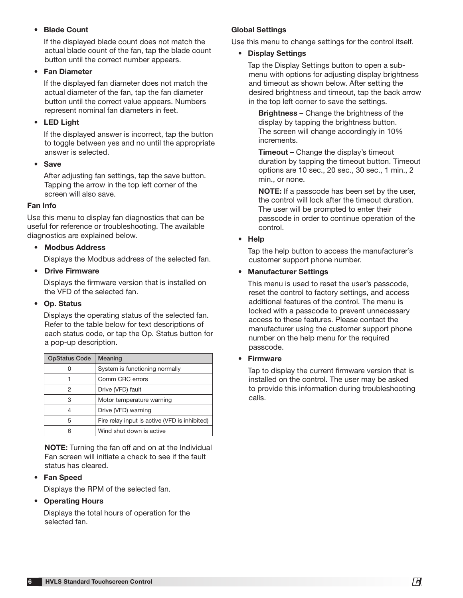### **Blade Count**

 If the displayed blade count does not match the actual blade count of the fan, tap the blade count button until the correct number appears.

#### **Fan Diameter**

If the displayed fan diameter does not match the actual diameter of the fan, tap the fan diameter button until the correct value appears. Numbers represent nominal fan diameters in feet.

### • LED Light

If the displayed answer is incorrect, tap the button to toggle between yes and no until the appropriate answer is selected.

• Save

After adjusting fan settings, tap the save button. Tapping the arrow in the top left corner of the screen will also save.

### Fan Info

Use this menu to display fan diagnostics that can be useful for reference or troubleshooting. The available diagnostics are explained below.

### • Modbus Address

Displays the Modbus address of the selected fan.

**Drive Firmware** 

 Displays the firmware version that is installed on the VFD of the selected fan.

### • Op. Status

 Displays the operating status of the selected fan. Refer to the table below for text descriptions of each status code, or tap the Op. Status button for a pop-up description.

| <b>OpStatus Code</b> | Meaning                                       |
|----------------------|-----------------------------------------------|
|                      | System is functioning normally                |
|                      | Comm CRC errors                               |
| 2                    | Drive (VFD) fault                             |
| 3                    | Motor temperature warning                     |
|                      | Drive (VFD) warning                           |
| 5                    | Fire relay input is active (VFD is inhibited) |
| հ                    | Wind shut down is active                      |

NOTE: Turning the fan off and on at the Individual Fan screen will initiate a check to see if the fault status has cleared.

### • Fan Speed

Displays the RPM of the selected fan.

## • Operating Hours

Displays the total hours of operation for the selected fan.

## Global Settings

Use this menu to change settings for the control itself.

#### • Display Settings

 Tap the Display Settings button to open a submenu with options for adjusting display brightness and timeout as shown below. After setting the desired brightness and timeout, tap the back arrow in the top left corner to save the settings.

 Brightness – Change the brightness of the display by tapping the brightness button. The screen will change accordingly in 10% increments.

**Timeout** – Change the display's timeout duration by tapping the timeout button. Timeout options are 10 sec., 20 sec., 30 sec., 1 min., 2 min., or none.

 NOTE: If a passcode has been set by the user, the control will lock after the timeout duration. The user will be prompted to enter their passcode in order to continue operation of the control.

### • Help

 Tap the help button to access the manufacturer's customer support phone number.

### • Manufacturer Settings

 This menu is used to reset the user's passcode, reset the control to factory settings, and access additional features of the control. The menu is locked with a passcode to prevent unnecessary access to these features. Please contact the manufacturer using the customer support phone number on the help menu for the required passcode.

**Firmware** 

 Tap to display the current firmware version that is installed on the control. The user may be asked to provide this information during troubleshooting calls.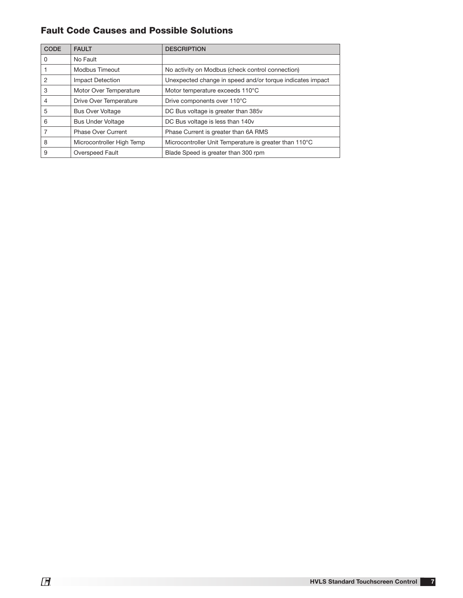## Fault Code Causes and Possible Solutions

| <b>CODE</b> | <b>FAULT</b>              | <b>DESCRIPTION</b>                                        |
|-------------|---------------------------|-----------------------------------------------------------|
| $\Omega$    | No Fault                  |                                                           |
|             | Modbus Timeout            | No activity on Modbus (check control connection)          |
| 2           | <b>Impact Detection</b>   | Unexpected change in speed and/or torque indicates impact |
| 3           | Motor Over Temperature    | Motor temperature exceeds 110°C                           |
| 4           | Drive Over Temperature    | Drive components over 110°C                               |
| 5           | <b>Bus Over Voltage</b>   | DC Bus voltage is greater than 385v                       |
| 6           | <b>Bus Under Voltage</b>  | DC Bus voltage is less than 140v                          |
|             | <b>Phase Over Current</b> | Phase Current is greater than 6A RMS                      |
| 8           | Microcontroller High Temp | Microcontroller Unit Temperature is greater than 110°C    |
| 9           | Overspeed Fault           | Blade Speed is greater than 300 rpm                       |